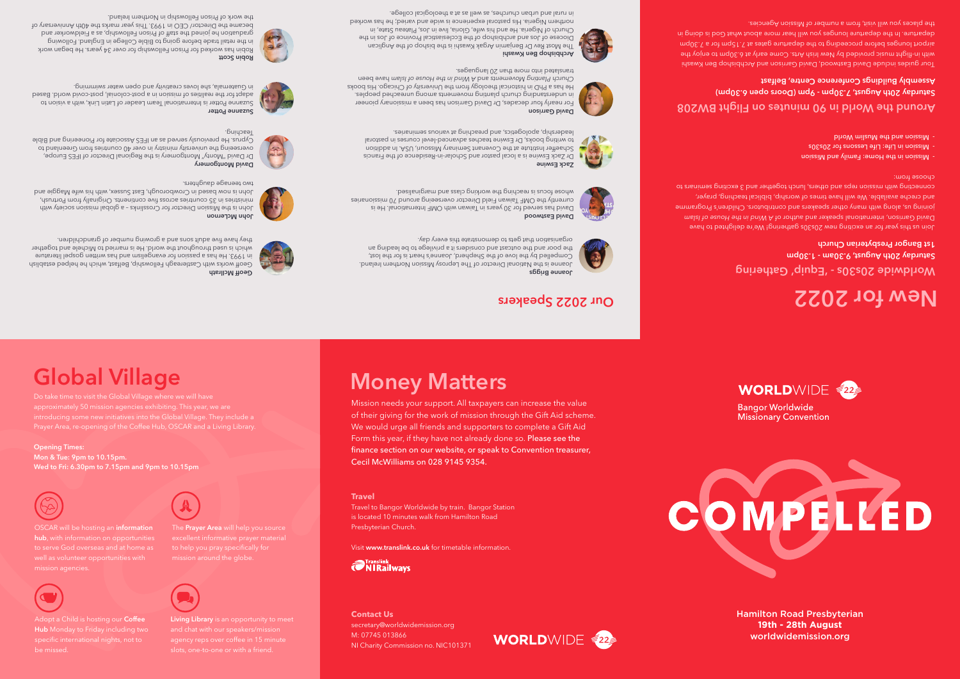# **Money Matters**

WORLDWIDE 22

**Travel**

Travel to Bangor Worldwide by train. Bangor Station is located 10 minutes walk from Hamilton Road Presbyterian Church.

Visit **www.translink.co.uk** for timetable information.

**Contact Us** secretary@worldwidemission.org M: 07745 013866 NI Charity Commission no. NIC101371

**The Stranglink** 

Mission needs your support. All taxpayers can increase the value

Geoff works with Castlereagh Fellowship, Belfast, which he helped establish in 1993. He has a passion for evangelism and has written gospel literature which is used throughout the world. He is married to Michele and together they have five adult sons and a growing number of grandchildren.

> of their giving for the work of mission through the Gift Aid scheme. We would urge all friends and supporters to complete a Gift Aid Form this year, if they have not already done so. Please see the finance section on our website, or speak to Convention treasurer, Cecil McWilliams on 028 9145 9354.

David has served for 30 years in Taiwan with OMF International. He is currently the OMF Taiwan Field Director overseeing around 70 missionaries whose focus is reaching the working class and marginalised.

# **Joanne Briggs**

Joanne is the National Director of The Leprosy Mission Northern Ireland.



John is the Mission Director for Crosslinks – a global mission society with ministries in 35 countries across five continents. Originally from Portrush, John is now based in Crowborough, East Sussex, with an eithe Maggie and

Dr David "Monty" Montgomery is the Regional Director of IFES Europe,

Compelled by the love of the Shepherd, Joanne's heart is for the lost, the poor and the outcast and considers it a privilege to be leading an organisation that gets to demonstrate this every day.



**Geoff McIlrath**

Dr Zack Eswine is a local pastor and Scholar-in-Residence of the Francis Schaeffer Institute at the Covenant Seminary Missouri, USA. In addition to writing books, Dr Eswine teaches advanced-level courses in pastoral leadership, apologetics, and preaching at various seminaries.

For nearly four decades, Dr David Garrison has been a missionary pioneer in nuqetaranding burid movements and peoples<sup>.</sup> He has a PhD in historical theology from the University of Chicago. His books Church Planting Movements and A Wind hot been as a well and *house been* 

# **David Eastwood**

Suzanne Potter is International Team Leader of Latin Link, with a vision to adapt for the realities of mission in a post-colonial, post-covid world. Based in Guatemala, she loves creativity and open water swimming.

**John McLernon**

The Most Rev Dr Benjamin Argak Kwashi is the bishop of the Anglican Diocese of Jos and archbishop of the Ecclesiastical Province of Jos in the Church of Nigeria. He and his wife, Gloria, live in Jos, Plateau State, in northern Nigeria. His pastoral experience is wide and varied; he has worked

in rural and urban churches, as well as at a theological college.

two teenage daughters.

**Zack Eswine**

**David Montgomery**

# overseeing the university ministry in over 40 countries from Greenland to Cyprus. He previously served as an IFES Associate for Pioneering and Bible Teaching.

- Mission in the Home: Family and Mission
- Mission in Life: Life Lessons for 20s30s
- Mission and the Muslim World

**David Garrison**

translated into more than 20 languages.



**Archbishop Ben Kwashi**

# **Robin Scott**

Robin has worked for Prison Fellowship for over 34 years. He began work in the retail trade before going to Bible College in England. Following graduation he joined the staff of Prison Fellowship, as a Fieldworker and became the Director/ CEO in 1993. This year marks the 40th Anniversary of the work of Prison Fellowship in Northern Ireland.







## **Worldwide 20s30s - 'Equip' Gathering Saturday 20th August, 9.30am - 1.30pm 1st Bangor Presbyterian Church**

# **Around the World in 90 minutes on Flight BW208 Saturday 20th August, 7.30pm - 9pm (Doors open 6.30pm) Assembly Buildings Conference Centre, Belfast**

Join us this year for an exciting new 20s30s gathering! We're delighted to have David Garrison, international speaker and author of A Wind in the House of Islam joining us, along with many other speakers and contributors. Children's Programme and creche available. We will have times of worship, biblical teaching, prayer, connecting with mission reps and others, lunch together and 3 exciting seminars to choose from:

Tour guides include David Eastwood, David Garrison and Archbishop Ben Kwashi with in-flight music provided by New Irish Arts. Come early at 6.30pm to enjoy the airport lounges before proceeding to the departure gates at 7.15pm for a 7.30pm departure. In the departure lounges you will hear more about what God is doing in the places you will visit, from a number of Mission Agencies.

Hamilton Road Presbyterian **19th - 28th August** worldwidemission.org

# COMPELLED

**Bangor Worldwide Missionary Convention** 



# **DREM FOR 2022** Speakers **New Formulation**

The **Prayer Area** will help you source

be missed.

OSCAR will be hosting an **information hub**, with information on opportunities to serve God overseas and at home as



mission agencies.



# **Global Village**

Do take time to visit the Global Village where we will have

**Opening Times: Mon & Tue: 9pm to 10.15pm. Wed to Fri: 6.30pm to 7.15pm and 9pm to 10.15pm**